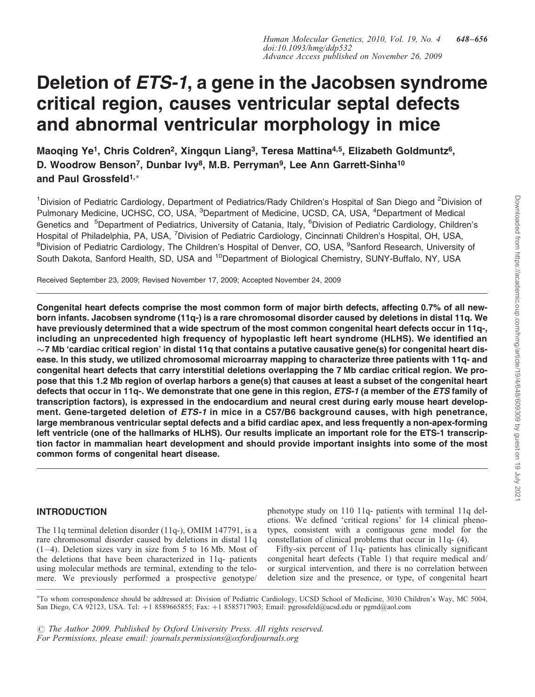# Deletion of *ETS-1*, a gene in the Jacobsen syndrome critical region, causes ventricular septal defects and abnormal ventricular morphology in mice

Maoqing Ye<sup>1</sup>, Chris Coldren<sup>2</sup>, Xingqun Liang<sup>3</sup>, Teresa Mattina<sup>4,5</sup>, Elizabeth Goldmuntz<sup>6</sup>, D. Woodrow Benson<sup>7</sup>, Dunbar Ivy<sup>8</sup>, M.B. Perryman<sup>9</sup>, Lee Ann Garrett-Sinha<sup>10</sup> and Paul Grossfeld<sup>1,\*</sup>

<sup>1</sup>Division of Pediatric Cardiology, Department of Pediatrics/Rady Children's Hospital of San Diego and <sup>2</sup>Division of Pulmonary Medicine, UCHSC, CO, USA, <sup>3</sup>Department of Medicine, UCSD, CA, USA, <sup>4</sup>Department of Medical Genetics and <sup>5</sup>Department of Pediatrics, University of Catania, Italy, <sup>6</sup>Division of Pediatric Cardiology, Children's Hospital of Philadelphia, PA, USA, <sup>7</sup>Division of Pediatric Cardiology, Cincinnati Children's Hospital, OH, USA, <sup>8</sup>Division of Pediatric Cardiology, The Children's Hospital of Denver, CO, USA, <sup>9</sup>Sanford Research, University of South Dakota, Sanford Health, SD, USA and <sup>10</sup>Department of Biological Chemistry, SUNY-Buffalo, NY, USA

Received September 23, 2009; Revised November 17, 2009; Accepted November 24, 2009

Congenital heart defects comprise the most common form of major birth defects, affecting 0.7% of all newborn infants. Jacobsen syndrome (11q-) is a rare chromosomal disorder caused by deletions in distal 11q. We have previously determined that a wide spectrum of the most common congenital heart defects occur in 11q-, including an unprecedented high frequency of hypoplastic left heart syndrome (HLHS). We identified an  $\sim$ 7 Mb 'cardiac critical region' in distal 11q that contains a putative causative gene(s) for congenital heart disease. In this study, we utilized chromosomal microarray mapping to characterize three patients with 11q- and congenital heart defects that carry interstitial deletions overlapping the 7 Mb cardiac critical region. We propose that this 1.2 Mb region of overlap harbors a gene(s) that causes at least a subset of the congenital heart defects that occur in 11q-. We demonstrate that one gene in this region, ETS-1 (a member of the ETS family of transcription factors), is expressed in the endocardium and neural crest during early mouse heart development. Gene-targeted deletion of ETS-1 in mice in a C57/B6 background causes, with high penetrance, large membranous ventricular septal defects and a bifid cardiac apex, and less frequently a non-apex-forming left ventricle (one of the hallmarks of HLHS). Our results implicate an important role for the ETS-1 transcription factor in mammalian heart development and should provide important insights into some of the most common forms of congenital heart disease.

## INTRODUCTION

The 11q terminal deletion disorder (11q-), OMIM 147791, is a rare chromosomal disorder caused by deletions in distal 11q (1–4). Deletion sizes vary in size from 5 to 16 Mb. Most of the deletions that have been characterized in 11q- patients using molecular methods are terminal, extending to the telomere. We previously performed a prospective genotype/

phenotype study on 110 11q- patients with terminal 11q deletions. We defined 'critical regions' for 14 clinical phenotypes, consistent with a contiguous gene model for the constellation of clinical problems that occur in 11q- (4).

Fifty-six percent of 11q- patients has clinically significant congenital heart defects (Table 1) that require medical and/ or surgical intervention, and there is no correlation between deletion size and the presence, or type, of congenital heart

- To whom correspondence should be addressed at: Division of Pediatric Cardiology, UCSD School of Medicine, 3030 Children's Way, MC 5004, San Diego, CA 92123, USA. Tel: +1 8589665855; Fax: +1 8585717903; Email: pgrossfeld@ucsd.edu or pgmd@aol.com

 $\odot$  The Author 2009. Published by Oxford University Press. All rights reserved. For Permissions, please email: journals.permissions@oxfordjournals.org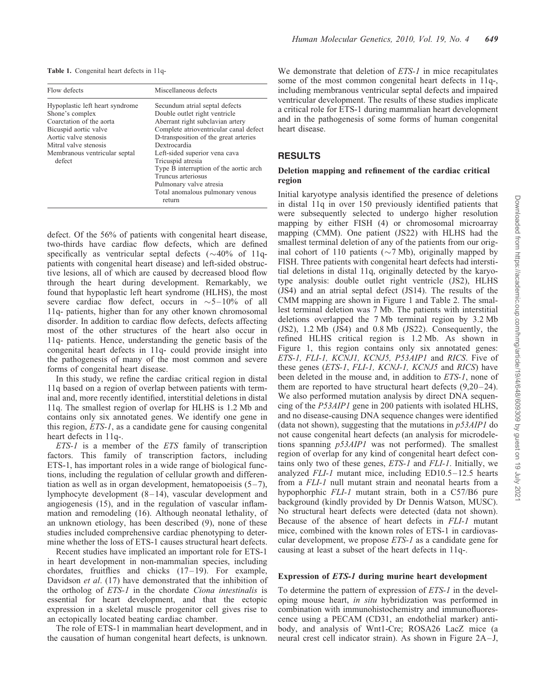Table 1. Congenital heart defects in 11q-

| Flow defects                                                                                                                                                                                         | Miscellaneous defects                                                                                                                                                                                                                                                                                                                                                                                 |
|------------------------------------------------------------------------------------------------------------------------------------------------------------------------------------------------------|-------------------------------------------------------------------------------------------------------------------------------------------------------------------------------------------------------------------------------------------------------------------------------------------------------------------------------------------------------------------------------------------------------|
| Hypoplastic left heart syndrome<br>Shone's complex<br>Coarctation of the aorta<br>Bicuspid aortic valve<br>Aortic valve stenosis<br>Mitral valve stenosis<br>Membranous ventricular septal<br>defect | Secundum atrial septal defects<br>Double outlet right ventricle<br>Aberrant right subclavian artery<br>Complete atrioventricular canal defect<br>D-transposition of the great arteries<br>Dextrocardia<br>Left-sided superior vena cava<br>Tricuspid atresia<br>Type B interruption of the aortic arch<br>Truncus arteriosus<br>Pulmonary valve atresia<br>Total anomalous pulmonary venous<br>return |

We demonstrate that deletion of *ETS-1* in mice recapitulates some of the most common congenital heart defects in 11q-, including membranous ventricular septal defects and impaired ventricular development. The results of these studies implicate a critical role for ETS-1 during mammalian heart development and in the pathogenesis of some forms of human congenital heart disease.

## RESULTS

## Deletion mapping and refinement of the cardiac critical region

Initial karyotype analysis identified the presence of deletions in distal 11q in over 150 previously identified patients that were subsequently selected to undergo higher resolution mapping by either FISH (4) or chromosomal microarray mapping (CMM). One patient (JS22) with HLHS had the smallest terminal deletion of any of the patients from our original cohort of 110 patients ( $\sim$ 7 Mb), originally mapped by FISH. Three patients with congenital heart defects had interstitial deletions in distal 11q, originally detected by the karyotype analysis: double outlet right ventricle (JS2), HLHS (JS4) and an atrial septal defect (JS14). The results of the CMM mapping are shown in Figure 1 and Table 2. The smallest terminal deletion was 7 Mb. The patients with interstitial deletions overlapped the 7 Mb terminal region by 3.2 Mb  $(JS2)$ , 1.2 Mb  $(\overline{JS4})$  and 0.8 Mb  $(JS22)$ . Consequently, the refined HLHS critical region is 1.2 Mb. As shown in Figure 1, this region contains only six annotated genes: ETS-1, FLI-1, KCNJ1, KCNJ5, P53AIP1 and RICS. Five of these genes (ETS-1, FLI-1, KCNJ-1, KCNJ5 and RICS) have been deleted in the mouse and, in addition to ETS-1, none of them are reported to have structural heart defects (9,20–24). We also performed mutation analysis by direct DNA sequencing of the P53AIP1 gene in 200 patients with isolated HLHS, and no disease-causing DNA sequence changes were identified (data not shown), suggesting that the mutations in  $p53AIP1$  do not cause congenital heart defects (an analysis for microdeletions spanning p53AIP1 was not performed). The smallest region of overlap for any kind of congenital heart defect contains only two of these genes, ETS-1 and FLI-1. Initially, we analyzed FLI-1 mutant mice, including ED10.5–12.5 hearts from a FLI-1 null mutant strain and neonatal hearts from a hypophorphic FLI-1 mutant strain, both in a C57/B6 pure background (kindly provided by Dr Dennis Watson, MUSC). No structural heart defects were detected (data not shown). Because of the absence of heart defects in FLI-1 mutant mice, combined with the known roles of ETS-1 in cardiovascular development, we propose ETS-1 as a candidate gene for causing at least a subset of the heart defects in 11q-.

#### Expression of ETS-1 during murine heart development

To determine the pattern of expression of ETS-1 in the developing mouse heart, in situ hybridization was performed in combination with immunohistochemistry and immunofluorescence using a PECAM (CD31, an endothelial marker) antibody, and analysis of Wnt1-Cre; ROSA26 LacZ mice (a neural crest cell indicator strain). As shown in Figure 2A–J,

defect. Of the 56% of patients with congenital heart disease, two-thirds have cardiac flow defects, which are defined specifically as ventricular septal defects  $(\sim 40\% \text{ of } 11q$ patients with congenital heart disease) and left-sided obstructive lesions, all of which are caused by decreased blood flow through the heart during development. Remarkably, we found that hypoplastic left heart syndrome (HLHS), the most severe cardiac flow defect, occurs in  $\sim$  5–10% of all 11q- patients, higher than for any other known chromosomal disorder. In addition to cardiac flow defects, defects affecting most of the other structures of the heart also occur in 11q- patients. Hence, understanding the genetic basis of the congenital heart defects in 11q- could provide insight into the pathogenesis of many of the most common and severe forms of congenital heart disease.

In this study, we refine the cardiac critical region in distal 11q based on a region of overlap between patients with terminal and, more recently identified, interstitial deletions in distal 11q. The smallest region of overlap for HLHS is 1.2 Mb and contains only six annotated genes. We identify one gene in this region, ETS-1, as a candidate gene for causing congenital heart defects in 11q-.

ETS-1 is a member of the ETS family of transcription factors. This family of transcription factors, including ETS-1, has important roles in a wide range of biological functions, including the regulation of cellular growth and differentiation as well as in organ development, hematopoeisis  $(5-7)$ , lymphocyte development (8–14), vascular development and angiogenesis (15), and in the regulation of vascular inflammation and remodeling (16). Although neonatal lethality, of an unknown etiology, has been described (9), none of these studies included comprehensive cardiac phenotyping to determine whether the loss of ETS-1 causes structural heart defects.

Recent studies have implicated an important role for ETS-1 in heart development in non-mammalian species, including chordates, fruitflies and chicks (17–19). For example, Davidson *et al.* (17) have demonstrated that the inhibition of the ortholog of ETS-1 in the chordate Ciona intestinalis is essential for heart development, and that the ectopic expression in a skeletal muscle progenitor cell gives rise to an ectopically located beating cardiac chamber.

The role of ETS-1 in mammalian heart development, and in the causation of human congenital heart defects, is unknown.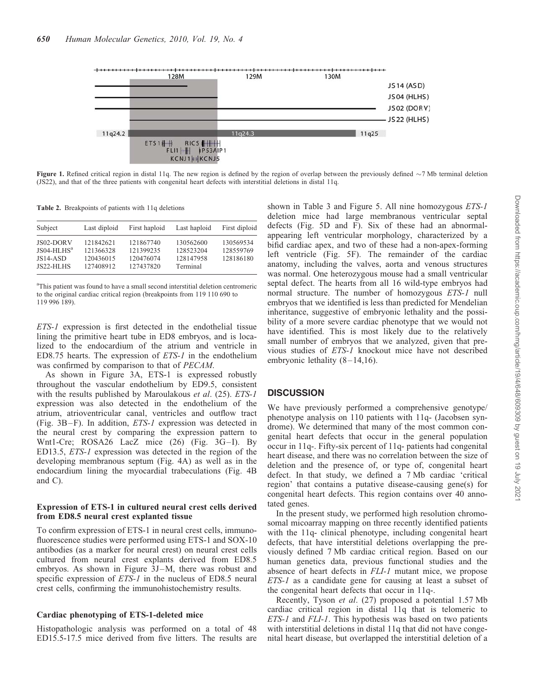

**Figure 1.** Refined critical region in distal 11q. The new region is defined by the region of overlap between the previously defined  $\sim$ 7 Mb terminal deletion (JS22), and that of the three patients with congenital heart defects with interstitial deletions in distal 11q.

Table 2. Breakpoints of patients with 11q deletions

| Subject                                                | Last diploid                                     | First haploid                                    | Last haploid                                    | First diploid                       |
|--------------------------------------------------------|--------------------------------------------------|--------------------------------------------------|-------------------------------------------------|-------------------------------------|
| $JS02-DORV$<br>$JS04-HLHSa$<br>$JS14-ASD$<br>JS22-HLHS | 121842621<br>121366328<br>120436015<br>127408912 | 121867740<br>121399235<br>120476074<br>127437820 | 130562600<br>128523204<br>128147958<br>Terminal | 130569534<br>128559769<br>128186180 |

<sup>a</sup>This patient was found to have a small second interstitial deletion centromeric to the original cardiac critical region (breakpoints from 119 110 690 to 119 996 189).

ETS-1 expression is first detected in the endothelial tissue lining the primitive heart tube in ED8 embryos, and is localized to the endocardium of the atrium and ventricle in ED8.75 hearts. The expression of ETS-1 in the endothelium was confirmed by comparison to that of PECAM.

As shown in Figure 3A, ETS-1 is expressed robustly throughout the vascular endothelium by ED9.5, consistent with the results published by Maroulakous et al. (25). ETS-1 expression was also detected in the endothelium of the atrium, atrioventricular canal, ventricles and outflow tract (Fig. 3B–F). In addition, ETS-1 expression was detected in the neural crest by comparing the expression pattern to Wnt1-Cre; ROSA26 LacZ mice (26) (Fig. 3G–I). By ED13.5, ETS-1 expression was detected in the region of the developing membranous septum (Fig. 4A) as well as in the endocardium lining the myocardial trabeculations (Fig. 4B and C).

#### Expression of ETS-1 in cultured neural crest cells derived from ED8.5 neural crest explanted tissue

To confirm expression of ETS-1 in neural crest cells, immunofluorescence studies were performed using ETS-1 and SOX-10 antibodies (as a marker for neural crest) on neural crest cells cultured from neural crest explants derived from ED8.5 embryos. As shown in Figure 3J–M, there was robust and specific expression of ETS-1 in the nucleus of ED8.5 neural crest cells, confirming the immunohistochemistry results.

#### Cardiac phenotyping of ETS-1-deleted mice

Histopathologic analysis was performed on a total of 48 ED15.5-17.5 mice derived from five litters. The results are shown in Table 3 and Figure 5. All nine homozygous *ETS-1* deletion mice had large membranous ventricular septal defects (Fig. 5D and F). Six of these had an abnormalappearing left ventricular morphology, characterized by a bifid cardiac apex, and two of these had a non-apex-forming left ventricle (Fig. 5F). The remainder of the cardiac anatomy, including the valves, aorta and venous structures was normal. One heterozygous mouse had a small ventricular septal defect. The hearts from all 16 wild-type embryos had normal structure. The number of homozygous ETS-1 null embryos that we identified is less than predicted for Mendelian inheritance, suggestive of embryonic lethality and the possibility of a more severe cardiac phenotype that we would not have identified. This is most likely due to the relatively small number of embryos that we analyzed, given that previous studies of ETS-1 knockout mice have not described embryonic lethality  $(8-14,16)$ .

## **DISCUSSION**

We have previously performed a comprehensive genotype/ phenotype analysis on 110 patients with 11q- (Jacobsen syndrome). We determined that many of the most common congenital heart defects that occur in the general population occur in 11q-. Fifty-six percent of 11q- patients had congenital heart disease, and there was no correlation between the size of deletion and the presence of, or type of, congenital heart defect. In that study, we defined a 7 Mb cardiac 'critical region' that contains a putative disease-causing gene(s) for congenital heart defects. This region contains over 40 annotated genes.

In the present study, we performed high resolution chromosomal micoarray mapping on three recently identified patients with the 11q- clinical phenotype, including congenital heart defects, that have interstitial deletions overlapping the previously defined 7 Mb cardiac critical region. Based on our human genetics data, previous functional studies and the absence of heart defects in FLI-1 mutant mice, we propose ETS-1 as a candidate gene for causing at least a subset of the congenital heart defects that occur in 11q-.

Recently, Tyson et al. (27) proposed a potential 1.57 Mb cardiac critical region in distal 11q that is telomeric to ETS-1 and FLI-1. This hypothesis was based on two patients with interstitial deletions in distal 11q that did not have congenital heart disease, but overlapped the interstitial deletion of a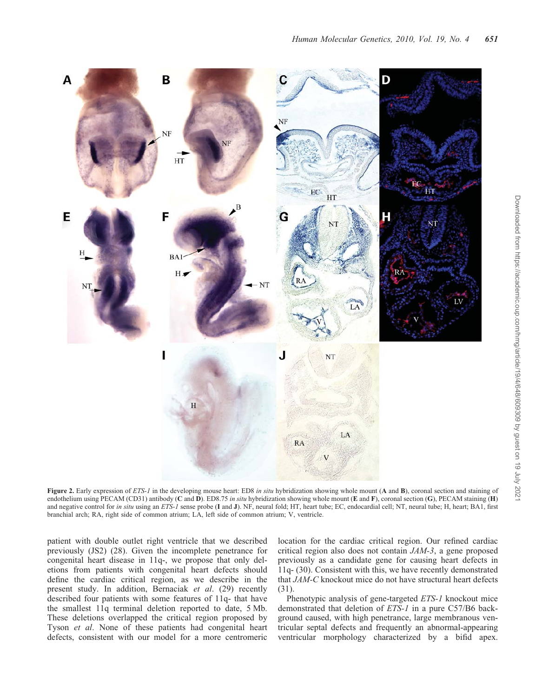

Figure 2. Early expression of ETS-1 in the developing mouse heart: ED8 in situ hybridization showing whole mount (A and B), coronal section and staining of endothelium using PECAM (CD31) antibody (C and D). ED8.75 in situ hybridization showing whole mount (E and F), coronal section (G), PECAM staining (H) and negative control for in situ using an ETS-1 sense probe (I and J). NF, neural fold; HT, heart tube; EC, endocardial cell; NT, neural tube; H, heart; BA1, first branchial arch; RA, right side of common atrium; LA, left side of common atrium; V, ventricle.

patient with double outlet right ventricle that we described previously (JS2) (28). Given the incomplete penetrance for congenital heart disease in 11q-, we propose that only deletions from patients with congenital heart defects should define the cardiac critical region, as we describe in the present study. In addition, Bernaciak et al. (29) recently described four patients with some features of 11q- that have the smallest 11q terminal deletion reported to date, 5 Mb. These deletions overlapped the critical region proposed by Tyson et al. None of these patients had congenital heart defects, consistent with our model for a more centromeric

location for the cardiac critical region. Our refined cardiac critical region also does not contain JAM-3, a gene proposed previously as a candidate gene for causing heart defects in 11q- (30). Consistent with this, we have recently demonstrated that JAM-C knockout mice do not have structural heart defects (31).

Phenotypic analysis of gene-targeted ETS-1 knockout mice demonstrated that deletion of ETS-1 in a pure C57/B6 background caused, with high penetrance, large membranous ventricular septal defects and frequently an abnormal-appearing ventricular morphology characterized by a bifid apex.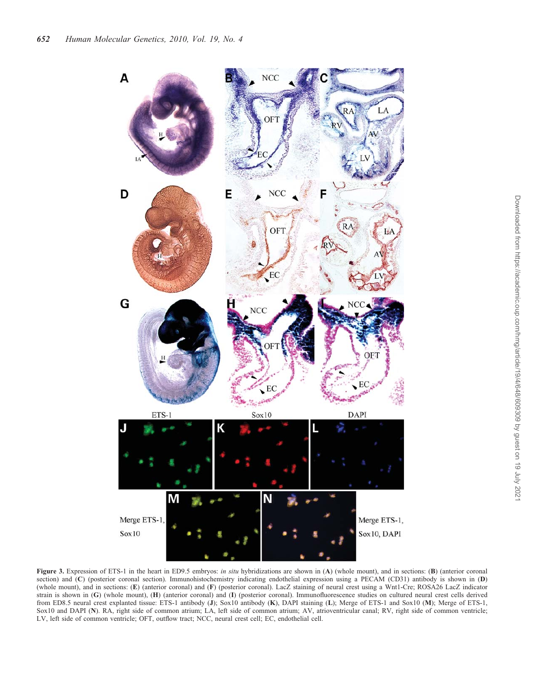

Figure 3. Expression of ETS-1 in the heart in ED9.5 embryos: in situ hybridizations are shown in (A) (whole mount), and in sections: (B) (anterior coronal section) and (C) (posterior coronal section). Immunohistochemistry indicating endothelial expression using a PECAM (CD31) antibody is shown in (D) (whole mount), and in sections: (E) (anterior coronal) and (F) (posterior coronal). LacZ staining of neural crest using a Wnt1-Cre; ROSA26 LacZ indicator strain is shown in (G) (whole mount), (H) (anterior coronal) and (I) (posterior coronal). Immunofluorescence studies on cultured neural crest cells derived from ED8.5 neural crest explanted tissue: ETS-1 antibody (J); Sox10 antibody (K), DAPI staining (L); Merge of ETS-1 and Sox10 (M); Merge of ETS-1, Sox10 and DAPI (N). RA, right side of common atrium; LA, left side of common atrium; AV, atrioventricular canal; RV, right side of common ventricle; LV, left side of common ventricle; OFT, outflow tract; NCC, neural crest cell; EC, endothelial cell.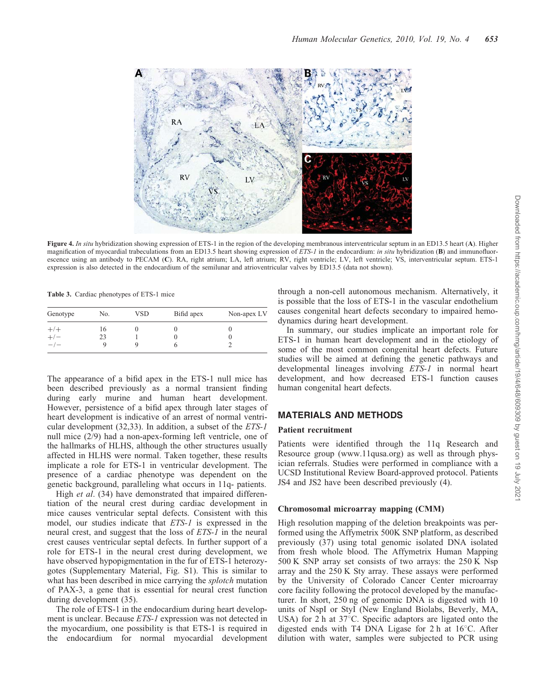

Figure 4. In situ hybridization showing expression of ETS-1 in the region of the developing membranous interventricular septum in an ED13.5 heart (A). Higher magnification of myocardial trabeculations from an ED13.5 heart showing expression of ETS-1 in the endocardium: in situ hybridization (B) and immunofluorescence using an antibody to PECAM (C). RA, right atrium; LA, left atrium; RV, right ventricle; LV, left ventricle; VS, interventricular septum. ETS-1 expression is also detected in the endocardium of the semilunar and atrioventricular valves by ED13.5 (data not shown).

Table 3. Cardiac phenotypes of ETS-1 mice

| Genotype                 | No. | VSD | Bifid apex | Non-apex LV |
|--------------------------|-----|-----|------------|-------------|
| $^{+/+}_{+/-}$           | 16  |     |            |             |
| $+/-$                    | 23  |     |            |             |
| $\overline{\phantom{a}}$ |     |     |            |             |

The appearance of a bifid apex in the ETS-1 null mice has been described previously as a normal transient finding during early murine and human heart development. However, persistence of a bifid apex through later stages of heart development is indicative of an arrest of normal ventricular development (32,33). In addition, a subset of the ETS-1 null mice (2/9) had a non-apex-forming left ventricle, one of the hallmarks of HLHS, although the other structures usually affected in HLHS were normal. Taken together, these results implicate a role for ETS-1 in ventricular development. The presence of a cardiac phenotype was dependent on the genetic background, paralleling what occurs in 11q- patients.

High *et al.* (34) have demonstrated that impaired differentiation of the neural crest during cardiac development in mice causes ventricular septal defects. Consistent with this model, our studies indicate that ETS-1 is expressed in the neural crest, and suggest that the loss of ETS-1 in the neural crest causes ventricular septal defects. In further support of a role for ETS-1 in the neural crest during development, we have observed hypopigmentation in the fur of ETS-1 heterozygotes (Supplementary Material, Fig. S1). This is similar to what has been described in mice carrying the *splotch* mutation of PAX-3, a gene that is essential for neural crest function during development (35).

The role of ETS-1 in the endocardium during heart development is unclear. Because ETS-1 expression was not detected in the myocardium, one possibility is that ETS-1 is required in the endocardium for normal myocardial development

through a non-cell autonomous mechanism. Alternatively, it is possible that the loss of ETS-1 in the vascular endothelium causes congenital heart defects secondary to impaired hemodynamics during heart development.

In summary, our studies implicate an important role for ETS-1 in human heart development and in the etiology of some of the most common congenital heart defects. Future studies will be aimed at defining the genetic pathways and developmental lineages involving ETS-1 in normal heart development, and how decreased ETS-1 function causes human congenital heart defects.

## MATERIALS AND METHODS

#### Patient recruitment

Patients were identified through the 11q Research and Resource group (www.11qusa.org) as well as through physician referrals. Studies were performed in compliance with a UCSD Institutional Review Board-approved protocol. Patients JS4 and JS2 have been described previously (4).

#### Chromosomal microarray mapping (CMM)

High resolution mapping of the deletion breakpoints was performed using the Affymetrix 500K SNP platform, as described previously (37) using total genomic isolated DNA isolated from fresh whole blood. The Affymetrix Human Mapping 500 K SNP array set consists of two arrays: the 250 K Nsp array and the 250 K Sty array. These assays were performed by the University of Colorado Cancer Center microarray core facility following the protocol developed by the manufacturer. In short, 250 ng of genomic DNA is digested with 10 units of NspI or StyI (New England Biolabs, Beverly, MA, USA) for 2 h at  $37^{\circ}$ C. Specific adaptors are ligated onto the digested ends with T4 DNA Ligase for  $2 h$  at  $16^{\circ}$ C. After dilution with water, samples were subjected to PCR using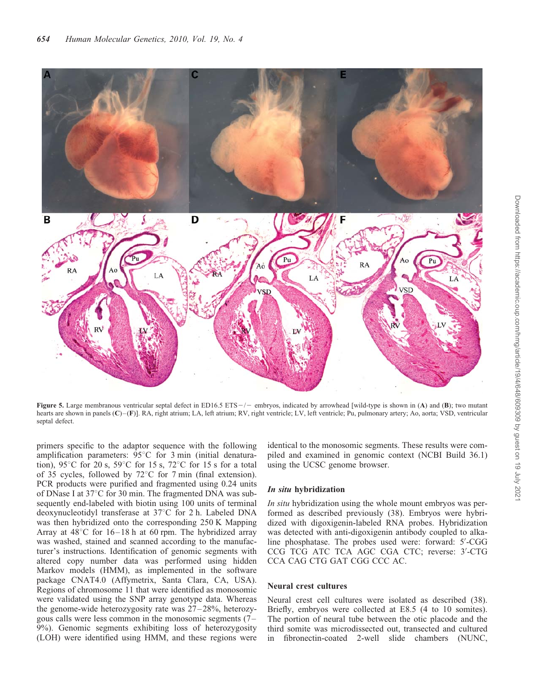

Figure 5. Large membranous ventricular septal defect in ED16.5 ETS $-/-$  embryos, indicated by arrowhead [wild-type is shown in (A) and (B); two mutant hearts are shown in panels (C)–(F)]. RA, right atrium; LA, left atrium; RV, right ventricle; LV, left ventricle; Pu, pulmonary artery; Ao, aorta; VSD, ventricular septal defect.

primers specific to the adaptor sequence with the following amplification parameters:  $95^{\circ}$ C for 3 min (initial denaturation), 95 $\degree$ C for 20 s, 59 $\degree$ C for 15 s, 72 $\degree$ C for 15 s for a total of 35 cycles, followed by  $72^{\circ}$ C for 7 min (final extension). PCR products were purified and fragmented using 0.24 units of DNase I at  $37^{\circ}$ C for 30 min. The fragmented DNA was subsequently end-labeled with biotin using 100 units of terminal deoxynucleotidyl transferase at  $37^{\circ}$ C for 2 h. Labeled DNA was then hybridized onto the corresponding 250 K Mapping Array at  $48^{\circ}$ C for  $16-18$  h at 60 rpm. The hybridized array was washed, stained and scanned according to the manufacturer's instructions. Identification of genomic segments with altered copy number data was performed using hidden Markov models (HMM), as implemented in the software package CNAT4.0 (Affymetrix, Santa Clara, CA, USA). Regions of chromosome 11 that were identified as monosomic were validated using the SNP array genotype data. Whereas the genome-wide heterozygosity rate was 27–28%, heterozygous calls were less common in the monosomic segments (7– 9%). Genomic segments exhibiting loss of heterozygosity (LOH) were identified using HMM, and these regions were

identical to the monosomic segments. These results were compiled and examined in genomic context (NCBI Build 36.1) using the UCSC genome browser.

#### In situ hybridization

In situ hybridization using the whole mount embryos was performed as described previously (38). Embryos were hybridized with digoxigenin-labeled RNA probes. Hybridization was detected with anti-digoxigenin antibody coupled to alkaline phosphatase. The probes used were: forward: 5'-CGG CCG TCG ATC TCA AGC CGA CTC; reverse: 3'-CTG CCA CAG CTG GAT CGG CCC AC.

#### Neural crest cultures

Neural crest cell cultures were isolated as described (38). Briefly, embryos were collected at E8.5 (4 to 10 somites). The portion of neural tube between the otic placode and the third somite was microdissected out, transected and cultured in fibronectin-coated 2-well slide chambers (NUNC,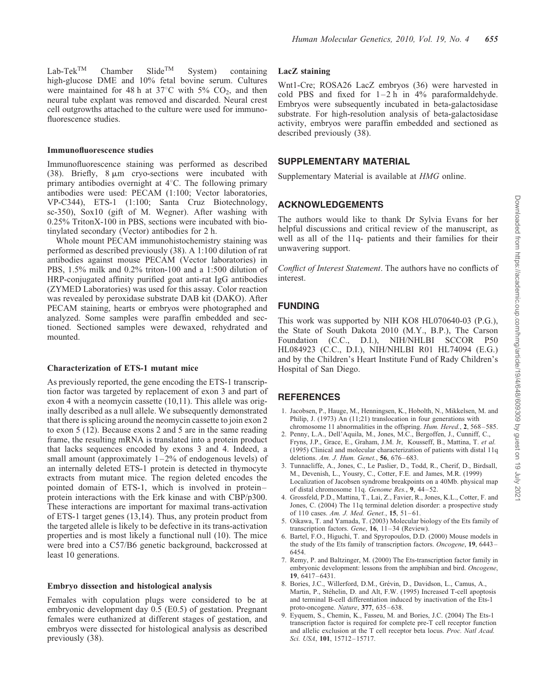$Lab-Tek^{TM}$  Chamber Slide<sup>TM</sup> System) containing high-glucose DME and 10% fetal bovine serum. Cultures were maintained for 48 h at  $37^{\circ}$ C with 5% CO<sub>2</sub>, and then neural tube explant was removed and discarded. Neural crest cell outgrowths attached to the culture were used for immunofluorescence studies.

#### Immunofluorescence studies

Immunofluorescence staining was performed as described (38). Briefly,  $8 \mu m$  cryo-sections were incubated with primary antibodies overnight at  $4^{\circ}$ C. The following primary antibodies were used: PECAM (1:100; Vector laboratories, VP-C344), ETS-1 (1:100; Santa Cruz Biotechnology, sc-350), Sox10 (gift of M. Wegner). After washing with 0.25% TritonX-100 in PBS, sections were incubated with biotinylated secondary (Vector) antibodies for 2 h.

Whole mount PECAM immunohistochemistry staining was performed as described previously (38). A 1:100 dilution of rat antibodies against mouse PECAM (Vector laboratories) in PBS, 1.5% milk and 0.2% triton-100 and a 1:500 dilution of HRP-conjugated affinity purified goat anti-rat IgG antibodies (ZYMED Laboratories) was used for this assay. Color reaction was revealed by peroxidase substrate DAB kit (DAKO). After PECAM staining, hearts or embryos were photographed and analyzed. Some samples were paraffin embedded and sectioned. Sectioned samples were dewaxed, rehydrated and mounted.

#### Characterization of ETS-1 mutant mice

As previously reported, the gene encoding the ETS-1 transcription factor was targeted by replacement of exon 3 and part of exon 4 with a neomycin cassette (10,11). This allele was originally described as a null allele. We subsequently demonstrated that there is splicing around the neomycin cassette to join exon 2 to exon 5 (12). Because exons 2 and 5 are in the same reading frame, the resulting mRNA is translated into a protein product that lacks sequences encoded by exons 3 and 4. Indeed, a small amount (approximately 1–2% of endogenous levels) of an internally deleted ETS-1 protein is detected in thymocyte extracts from mutant mice. The region deleted encodes the pointed domain of ETS-1, which is involved in protein– protein interactions with the Erk kinase and with CBP/p300. These interactions are important for maximal trans-activation of ETS-1 target genes (13,14). Thus, any protein product from the targeted allele is likely to be defective in its trans-activation properties and is most likely a functional null (10). The mice were bred into a C57/B6 genetic background, backcrossed at least 10 generations.

#### Embryo dissection and histological analysis

Females with copulation plugs were considered to be at embryonic development day 0.5 (E0.5) of gestation. Pregnant females were euthanized at different stages of gestation, and embryos were dissected for histological analysis as described previously (38).

## LacZ staining

Wnt1-Cre; ROSA26 LacZ embryos (36) were harvested in cold PBS and fixed for  $1-2 h$  in 4% paraformaldehyde. Embryos were subsequently incubated in beta-galactosidase substrate. For high-resolution analysis of beta-galactosidase activity, embryos were paraffin embedded and sectioned as described previously (38).

## SUPPLEMENTARY MATERIAL

Supplementary Material is available at HMG online.

## ACKNOWLEDGEMENTS

The authors would like to thank Dr Sylvia Evans for her helpful discussions and critical review of the manuscript, as well as all of the 11q- patients and their families for their unwavering support.

Conflict of Interest Statement. The authors have no conflicts of interest.

## FUNDING

This work was supported by NIH KO8 HL070640-03 (P.G.), the State of South Dakota 2010 (M.Y., B.P.), The Carson Foundation (C.C., D.I.), NIH/NHLBI SCCOR P50 HL084923 (C.C., D.I.), NIH/NHLBI R01 HL74094 (E.G.) and by the Children's Heart Institute Fund of Rady Children's Hospital of San Diego.

## **REFERENCES**

- 1. Jacobsen, P., Hauge, M., Henningsen, K., Hobolth, N., Mikkelsen, M. and Philip, J. (1973) An (11;21) translocation in four generations with chromosome 11 abnormalities in the offspring. Hum. Hered., 2, 568–585.
- 2. Penny, L.A., Dell'Aquila, M., Jones, M.C., Bergoffen, J., Cunniff, C., Fryns, J.P., Grace, E., Graham, J.M. Jr, Kousseff, B., Mattina, T. et al. (1995) Clinical and molecular characterization of patients with distal 11q deletions. Am. J. Hum. Genet., 56, 676–683.
- 3. Tunnacliffe, A., Jones, C., Le Paslier, D., Todd, R., Cherif, D., Birdsall, M., Devenish, L., Yousry, C., Cotter, F.E. and James, M.R. (1999) Localization of Jacobsen syndrome breakpoints on a 40Mb. physical map of distal chromosome 11q. Genome Res., 9, 44–52.
- 4. Grossfeld, P.D., Mattina, T., Lai, Z., Favier, R., Jones, K.L., Cotter, F. and Jones, C. (2004) The 11q terminal deletion disorder: a prospective study of 110 cases. Am. J. Med. Genet., 15, 51–61.
- 5. Oikawa, T. and Yamada, T. (2003) Molecular biology of the Ets family of transcription factors. Gene, 16, 11-34 (Review).
- 6. Bartel, F.O., Higuchi, T. and Spyropoulos, D.D. (2000) Mouse models in the study of the Ets family of transcription factors. Oncogene, 19, 6443– 6454.
- 7. Remy, P. and Baltzinger, M. (2000) The Ets-transcription factor family in embryonic development: lessons from the amphibian and bird. Oncogene, 19, 6417–6431.
- 8. Bories, J.C., Willerford, D.M., Grévin, D., Davidson, L., Camus, A., Martin, P., Stéhelin, D. and Alt, F.W. (1995) Increased T-cell apoptosis and terminal B-cell differentiation induced by inactivation of the Ets-1 proto-oncogene. Nature, 377, 635–638.
- 9. Eyquem, S., Chemin, K., Fasseu, M. and Bories, J.C. (2004) The Ets-1 transcription factor is required for complete pre-T cell receptor function and allelic exclusion at the T cell receptor beta locus. Proc. Natl Acad. Sci. USA, 101, 15712–15717.